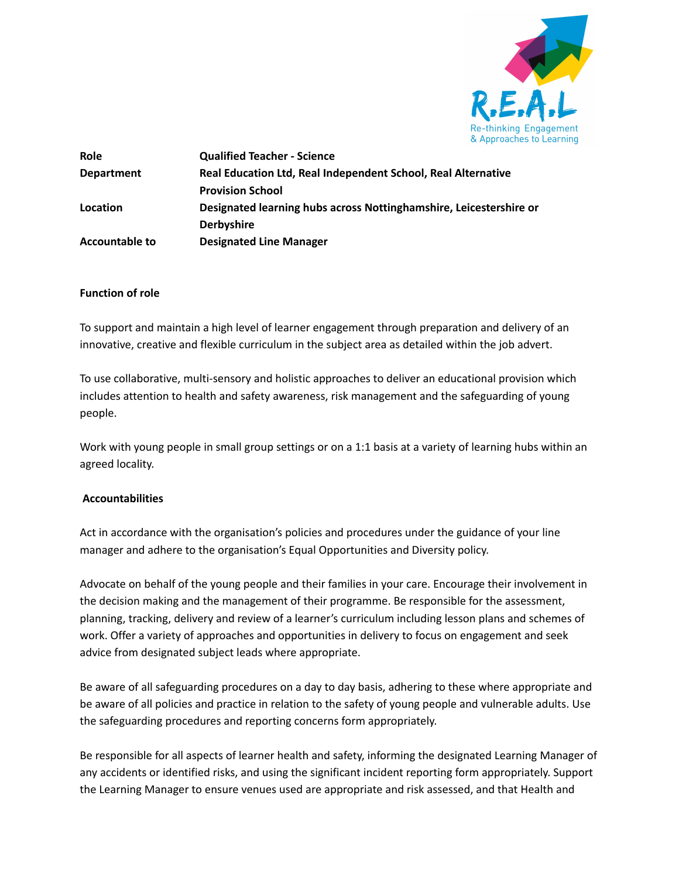

| <b>Role</b>           | <b>Qualified Teacher - Science</b>                                 |
|-----------------------|--------------------------------------------------------------------|
| <b>Department</b>     | Real Education Ltd, Real Independent School, Real Alternative      |
|                       | <b>Provision School</b>                                            |
| Location              | Designated learning hubs across Nottinghamshire, Leicestershire or |
|                       | <b>Derbyshire</b>                                                  |
| <b>Accountable to</b> | <b>Designated Line Manager</b>                                     |

#### **Function of role**

To support and maintain a high level of learner engagement through preparation and delivery of an innovative, creative and flexible curriculum in the subject area as detailed within the job advert.

To use collaborative, multi-sensory and holistic approaches to deliver an educational provision which includes attention to health and safety awareness, risk management and the safeguarding of young people.

Work with young people in small group settings or on a 1:1 basis at a variety of learning hubs within an agreed locality.

#### **Accountabilities**

Act in accordance with the organisation's policies and procedures under the guidance of your line manager and adhere to the organisation's Equal Opportunities and Diversity policy.

Advocate on behalf of the young people and their families in your care. Encourage their involvement in the decision making and the management of their programme. Be responsible for the assessment, planning, tracking, delivery and review of a learner's curriculum including lesson plans and schemes of work. Offer a variety of approaches and opportunities in delivery to focus on engagement and seek advice from designated subject leads where appropriate.

Be aware of all safeguarding procedures on a day to day basis, adhering to these where appropriate and be aware of all policies and practice in relation to the safety of young people and vulnerable adults. Use the safeguarding procedures and reporting concerns form appropriately.

Be responsible for all aspects of learner health and safety, informing the designated Learning Manager of any accidents or identified risks, and using the significant incident reporting form appropriately. Support the Learning Manager to ensure venues used are appropriate and risk assessed, and that Health and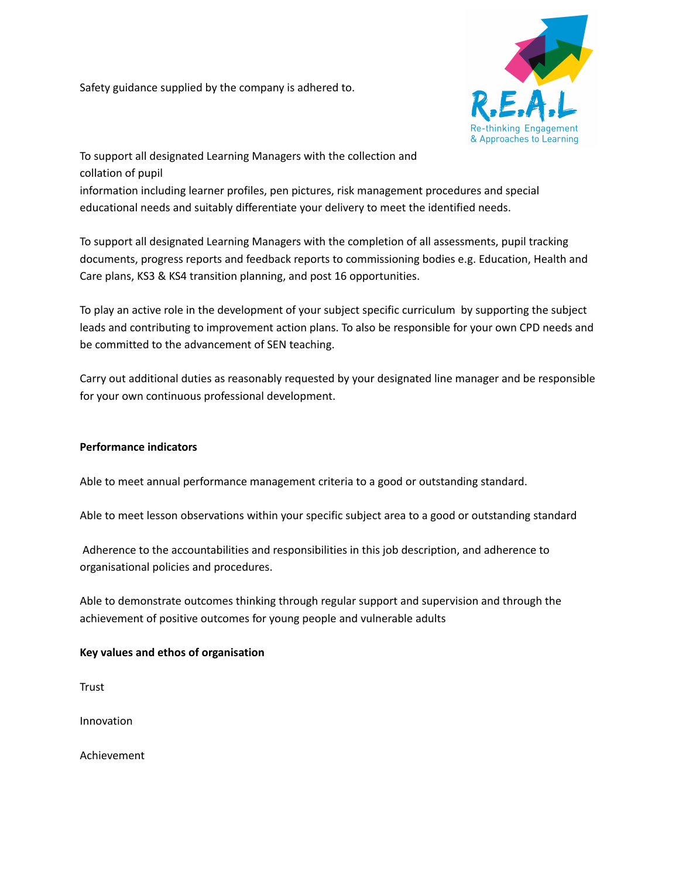Safety guidance supplied by the company is adhered to.



To support all designated Learning Managers with the collection and collation of pupil

information including learner profiles, pen pictures, risk management procedures and special educational needs and suitably differentiate your delivery to meet the identified needs.

To support all designated Learning Managers with the completion of all assessments, pupil tracking documents, progress reports and feedback reports to commissioning bodies e.g. Education, Health and Care plans, KS3 & KS4 transition planning, and post 16 opportunities.

To play an active role in the development of your subject specific curriculum by supporting the subject leads and contributing to improvement action plans. To also be responsible for your own CPD needs and be committed to the advancement of SEN teaching.

Carry out additional duties as reasonably requested by your designated line manager and be responsible for your own continuous professional development.

## **Performance indicators**

Able to meet annual performance management criteria to a good or outstanding standard.

Able to meet lesson observations within your specific subject area to a good or outstanding standard

Adherence to the accountabilities and responsibilities in this job description, and adherence to organisational policies and procedures.

Able to demonstrate outcomes thinking through regular support and supervision and through the achievement of positive outcomes for young people and vulnerable adults

## **Key values and ethos of organisation**

**Trust** 

Innovation

Achievement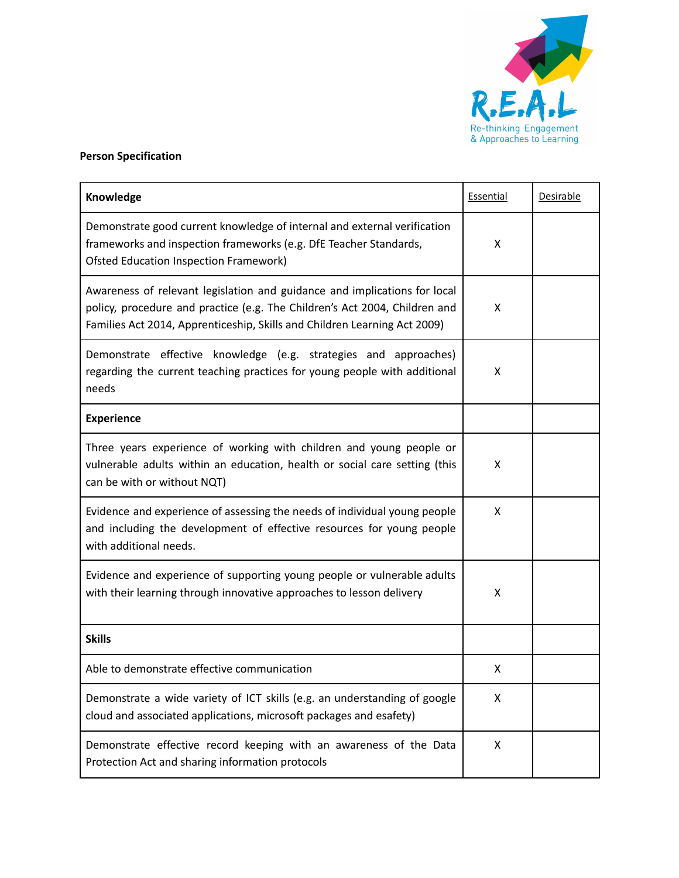

# **Person Specification**

| Knowledge                                                                                                                                                                                                                            | Essential | Desirable |
|--------------------------------------------------------------------------------------------------------------------------------------------------------------------------------------------------------------------------------------|-----------|-----------|
| Demonstrate good current knowledge of internal and external verification<br>frameworks and inspection frameworks (e.g. DfE Teacher Standards,<br><b>Ofsted Education Inspection Framework)</b>                                       | X         |           |
| Awareness of relevant legislation and guidance and implications for local<br>policy, procedure and practice (e.g. The Children's Act 2004, Children and<br>Families Act 2014, Apprenticeship, Skills and Children Learning Act 2009) | X         |           |
| Demonstrate effective knowledge (e.g. strategies and approaches)<br>regarding the current teaching practices for young people with additional<br>needs                                                                               | X         |           |
| <b>Experience</b>                                                                                                                                                                                                                    |           |           |
| Three years experience of working with children and young people or<br>vulnerable adults within an education, health or social care setting (this<br>can be with or without NQT)                                                     | X         |           |
| Evidence and experience of assessing the needs of individual young people<br>and including the development of effective resources for young people<br>with additional needs.                                                         | X         |           |
| Evidence and experience of supporting young people or vulnerable adults<br>with their learning through innovative approaches to lesson delivery                                                                                      | X         |           |
| <b>Skills</b>                                                                                                                                                                                                                        |           |           |
| Able to demonstrate effective communication                                                                                                                                                                                          | X         |           |
| Demonstrate a wide variety of ICT skills (e.g. an understanding of google<br>cloud and associated applications, microsoft packages and esafety)                                                                                      | X         |           |
| Demonstrate effective record keeping with an awareness of the Data<br>Protection Act and sharing information protocols                                                                                                               | X         |           |